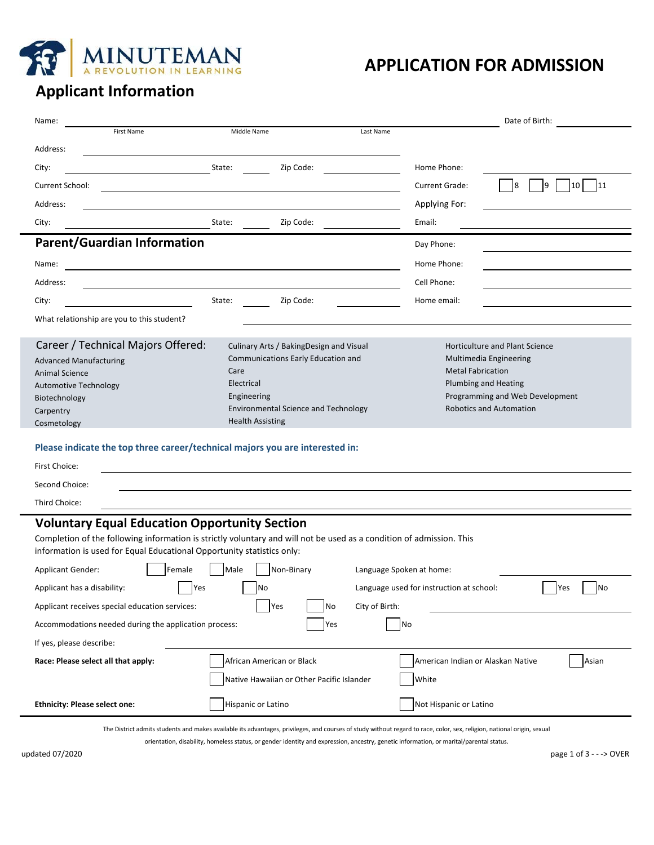

## **APPLICATION FOR ADMISSION**

# **Applicant Information**

| Name:                                                                                                                                                                                          |                                             |                                          | Date of Birth:                        |  |  |  |  |
|------------------------------------------------------------------------------------------------------------------------------------------------------------------------------------------------|---------------------------------------------|------------------------------------------|---------------------------------------|--|--|--|--|
| <b>First Name</b>                                                                                                                                                                              | Middle Name                                 | Last Name                                |                                       |  |  |  |  |
| Address:                                                                                                                                                                                       |                                             |                                          |                                       |  |  |  |  |
| City:                                                                                                                                                                                          | State:<br>Zip Code:                         | Home Phone:                              |                                       |  |  |  |  |
| Current School:                                                                                                                                                                                |                                             | Current Grade:                           | 10<br>11<br>8<br>9                    |  |  |  |  |
| Address:                                                                                                                                                                                       |                                             | Applying For:                            |                                       |  |  |  |  |
| City:                                                                                                                                                                                          | State:<br>Zip Code:                         | Email:                                   |                                       |  |  |  |  |
| <b>Parent/Guardian Information</b>                                                                                                                                                             |                                             | Day Phone:                               |                                       |  |  |  |  |
| Name:                                                                                                                                                                                          |                                             | Home Phone:                              |                                       |  |  |  |  |
| Address:                                                                                                                                                                                       |                                             | Cell Phone:                              |                                       |  |  |  |  |
| City:                                                                                                                                                                                          | State:<br>Zip Code:                         | Home email:                              |                                       |  |  |  |  |
| What relationship are you to this student?                                                                                                                                                     |                                             |                                          |                                       |  |  |  |  |
|                                                                                                                                                                                                |                                             |                                          |                                       |  |  |  |  |
| Career / Technical Majors Offered:                                                                                                                                                             | Culinary Arts / BakingDesign and Visual     |                                          | <b>Horticulture and Plant Science</b> |  |  |  |  |
| <b>Advanced Manufacturing</b>                                                                                                                                                                  | Communications Early Education and<br>Care  | <b>Metal Fabrication</b>                 | Multimedia Engineering                |  |  |  |  |
| <b>Animal Science</b>                                                                                                                                                                          | Electrical                                  |                                          | Plumbing and Heating                  |  |  |  |  |
| <b>Automotive Technology</b><br>Biotechnology                                                                                                                                                  | Engineering                                 |                                          | Programming and Web Development       |  |  |  |  |
| Carpentry                                                                                                                                                                                      | <b>Environmental Science and Technology</b> |                                          | <b>Robotics and Automation</b>        |  |  |  |  |
| Cosmetology                                                                                                                                                                                    | <b>Health Assisting</b>                     |                                          |                                       |  |  |  |  |
| Please indicate the top three career/technical majors you are interested in:                                                                                                                   |                                             |                                          |                                       |  |  |  |  |
| First Choice:                                                                                                                                                                                  |                                             |                                          |                                       |  |  |  |  |
|                                                                                                                                                                                                |                                             |                                          |                                       |  |  |  |  |
| Second Choice:                                                                                                                                                                                 |                                             |                                          |                                       |  |  |  |  |
| Third Choice:                                                                                                                                                                                  |                                             |                                          |                                       |  |  |  |  |
| <b>Voluntary Equal Education Opportunity Section</b>                                                                                                                                           |                                             |                                          |                                       |  |  |  |  |
| Completion of the following information is strictly voluntary and will not be used as a condition of admission. This<br>information is used for Equal Educational Opportunity statistics only: |                                             |                                          |                                       |  |  |  |  |
| Female<br><b>Applicant Gender:</b>                                                                                                                                                             | Male<br>Non-Binary                          | Language Spoken at home:                 |                                       |  |  |  |  |
| Applicant has a disability:<br>Yes                                                                                                                                                             | No                                          | Language used for instruction at school: | Yes<br>No                             |  |  |  |  |
| Applicant receives special education services:                                                                                                                                                 | Yes<br>No                                   | City of Birth:                           |                                       |  |  |  |  |
| Accommodations needed during the application process:                                                                                                                                          | Yes                                         | No                                       |                                       |  |  |  |  |
| If yes, please describe:                                                                                                                                                                       |                                             |                                          |                                       |  |  |  |  |
| Race: Please select all that apply:                                                                                                                                                            | African American or Black                   | American Indian or Alaskan Native        | Asian                                 |  |  |  |  |
|                                                                                                                                                                                                | Native Hawaiian or Other Pacific Islander   | White                                    |                                       |  |  |  |  |
| <b>Ethnicity: Please select one:</b>                                                                                                                                                           | Hispanic or Latino                          | Not Hispanic or Latino                   |                                       |  |  |  |  |
| The District admits students and makes available its advantages, privileges, and courses of study without regard to race, color, sex, religion, national origin, sexual                        |                                             |                                          |                                       |  |  |  |  |

orientation, disability, homeless status, or gender identity and expression, ancestry, genetic information, or marital/parental status.

updated 07/2020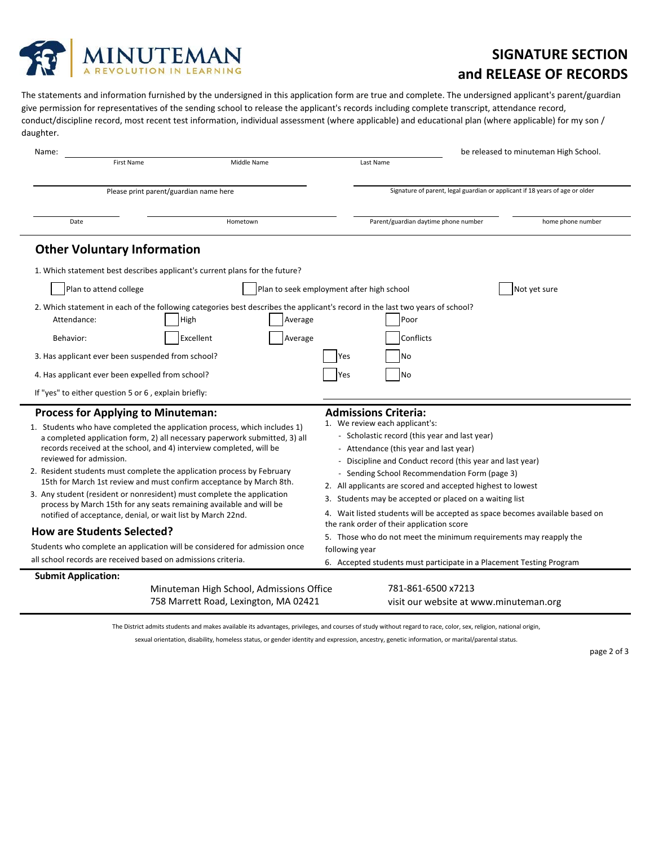

## **SIGNATURE SECTION and RELEASE OF RECORDS**

The statements and information furnished by the undersigned in this application form are true and complete. The undersigned applicant's parent/guardian give permission for representatives of the sending school to release the applicant's records including complete transcript, attendance record, conduct/discipline record, most recent test information, individual assessment (where applicable) and educational plan (where applicable) for my son / daughter.

| Name:                                                                                                                                                                                                                                                                                                                                                                                                                                                                                                                                                                                                                                                                   |                                                                                                                                       |                                           |                                                                                                                                                                                                                                                                                                                                                                                                                                                                                                                                                                                                    |                                        | be released to minuteman High School. |  |  |
|-------------------------------------------------------------------------------------------------------------------------------------------------------------------------------------------------------------------------------------------------------------------------------------------------------------------------------------------------------------------------------------------------------------------------------------------------------------------------------------------------------------------------------------------------------------------------------------------------------------------------------------------------------------------------|---------------------------------------------------------------------------------------------------------------------------------------|-------------------------------------------|----------------------------------------------------------------------------------------------------------------------------------------------------------------------------------------------------------------------------------------------------------------------------------------------------------------------------------------------------------------------------------------------------------------------------------------------------------------------------------------------------------------------------------------------------------------------------------------------------|----------------------------------------|---------------------------------------|--|--|
| <b>First Name</b>                                                                                                                                                                                                                                                                                                                                                                                                                                                                                                                                                                                                                                                       | Middle Name                                                                                                                           |                                           | Last Name                                                                                                                                                                                                                                                                                                                                                                                                                                                                                                                                                                                          |                                        |                                       |  |  |
| Please print parent/guardian name here                                                                                                                                                                                                                                                                                                                                                                                                                                                                                                                                                                                                                                  |                                                                                                                                       |                                           | Signature of parent, legal guardian or applicant if 18 years of age or older                                                                                                                                                                                                                                                                                                                                                                                                                                                                                                                       |                                        |                                       |  |  |
| Date                                                                                                                                                                                                                                                                                                                                                                                                                                                                                                                                                                                                                                                                    | Hometown                                                                                                                              |                                           | Parent/guardian daytime phone number                                                                                                                                                                                                                                                                                                                                                                                                                                                                                                                                                               |                                        | home phone number                     |  |  |
| <b>Other Voluntary Information</b>                                                                                                                                                                                                                                                                                                                                                                                                                                                                                                                                                                                                                                      |                                                                                                                                       |                                           |                                                                                                                                                                                                                                                                                                                                                                                                                                                                                                                                                                                                    |                                        |                                       |  |  |
|                                                                                                                                                                                                                                                                                                                                                                                                                                                                                                                                                                                                                                                                         | 1. Which statement best describes applicant's current plans for the future?                                                           |                                           |                                                                                                                                                                                                                                                                                                                                                                                                                                                                                                                                                                                                    |                                        |                                       |  |  |
| Plan to attend college                                                                                                                                                                                                                                                                                                                                                                                                                                                                                                                                                                                                                                                  |                                                                                                                                       | Plan to seek employment after high school |                                                                                                                                                                                                                                                                                                                                                                                                                                                                                                                                                                                                    |                                        | Not yet sure                          |  |  |
| Attendance:                                                                                                                                                                                                                                                                                                                                                                                                                                                                                                                                                                                                                                                             | 2. Which statement in each of the following categories best describes the applicant's record in the last two years of school?<br>High | Average                                   | Poor                                                                                                                                                                                                                                                                                                                                                                                                                                                                                                                                                                                               |                                        |                                       |  |  |
| Behavior:                                                                                                                                                                                                                                                                                                                                                                                                                                                                                                                                                                                                                                                               | Excellent                                                                                                                             | Average                                   | Conflicts                                                                                                                                                                                                                                                                                                                                                                                                                                                                                                                                                                                          |                                        |                                       |  |  |
| 3. Has applicant ever been suspended from school?                                                                                                                                                                                                                                                                                                                                                                                                                                                                                                                                                                                                                       |                                                                                                                                       | Yes                                       | No                                                                                                                                                                                                                                                                                                                                                                                                                                                                                                                                                                                                 |                                        |                                       |  |  |
| 4. Has applicant ever been expelled from school?                                                                                                                                                                                                                                                                                                                                                                                                                                                                                                                                                                                                                        |                                                                                                                                       | Yes                                       | <b>No</b>                                                                                                                                                                                                                                                                                                                                                                                                                                                                                                                                                                                          |                                        |                                       |  |  |
| If "yes" to either question 5 or 6, explain briefly:                                                                                                                                                                                                                                                                                                                                                                                                                                                                                                                                                                                                                    |                                                                                                                                       |                                           |                                                                                                                                                                                                                                                                                                                                                                                                                                                                                                                                                                                                    |                                        |                                       |  |  |
| <b>Process for Applying to Minuteman:</b><br>1. Students who have completed the application process, which includes 1)<br>a completed application form, 2) all necessary paperwork submitted, 3) all<br>records received at the school, and 4) interview completed, will be<br>reviewed for admission.<br>2. Resident students must complete the application process by February<br>15th for March 1st review and must confirm acceptance by March 8th.<br>3. Any student (resident or nonresident) must complete the application<br>process by March 15th for any seats remaining available and will be<br>notified of acceptance, denial, or wait list by March 22nd. |                                                                                                                                       |                                           | <b>Admissions Criteria:</b><br>1. We review each applicant's:<br>- Scholastic record (this year and last year)<br>- Attendance (this year and last year)<br>- Discipline and Conduct record (this year and last year)<br>- Sending School Recommendation Form (page 3)<br>2. All applicants are scored and accepted highest to lowest<br>3. Students may be accepted or placed on a waiting list<br>4. Wait listed students will be accepted as space becomes available based on<br>the rank order of their application score<br>5. Those who do not meet the minimum requirements may reapply the |                                        |                                       |  |  |
| <b>How are Students Selected?</b>                                                                                                                                                                                                                                                                                                                                                                                                                                                                                                                                                                                                                                       |                                                                                                                                       |                                           |                                                                                                                                                                                                                                                                                                                                                                                                                                                                                                                                                                                                    |                                        |                                       |  |  |
| Students who complete an application will be considered for admission once<br>all school records are received based on admissions criteria.                                                                                                                                                                                                                                                                                                                                                                                                                                                                                                                             |                                                                                                                                       |                                           | following year<br>6. Accepted students must participate in a Placement Testing Program                                                                                                                                                                                                                                                                                                                                                                                                                                                                                                             |                                        |                                       |  |  |
| <b>Submit Application:</b>                                                                                                                                                                                                                                                                                                                                                                                                                                                                                                                                                                                                                                              |                                                                                                                                       |                                           |                                                                                                                                                                                                                                                                                                                                                                                                                                                                                                                                                                                                    |                                        |                                       |  |  |
|                                                                                                                                                                                                                                                                                                                                                                                                                                                                                                                                                                                                                                                                         | Minuteman High School, Admissions Office<br>758 Marrett Road, Lexington, MA 02421                                                     |                                           | 781-861-6500 x7213                                                                                                                                                                                                                                                                                                                                                                                                                                                                                                                                                                                 | visit our website at www.minuteman.org |                                       |  |  |

The District admits students and makes available its advantages, privileges, and courses of study without regard to race, color, sex, religion, national origin,

sexual orientation, disability, homeless status, or gender identity and expression, ancestry, genetic information, or marital/parental status.

page 2 of 3